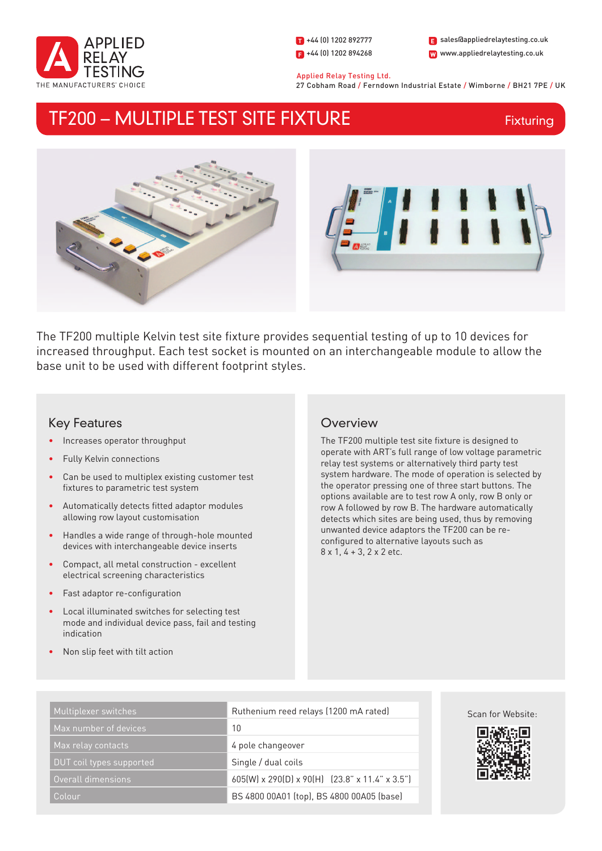

1 +44 (0) 1202 892777  $\Box$  +44 (0) 1202 894268

W www.appliedrelaytesting.co.uk sales@appliedrelaytesting.co.uk

 Applied Relay Testing Ltd. 27 Cobham Road / Ferndown Industrial Estate / Wimborne / BH21 7PE / UK

# TF200 – MULTIPLE TEST SITE FIXTURE

Fixturing



The TF200 multiple Kelvin test site fixture provides sequential testing of up to 10 devices for increased throughput. Each test socket is mounted on an interchangeable module to allow the base unit to be used with different footprint styles.

# Key Features

- Increases operator throughput
- Fully Kelvin connections
- Can be used to multiplex existing customer test fixtures to parametric test system
- Automatically detects fitted adaptor modules allowing row layout customisation
- Handles a wide range of through-hole mounted devices with interchangeable device inserts
- Compact, all metal construction excellent electrical screening characteristics
- Fast adaptor re-configuration
- Local illuminated switches for selecting test mode and individual device pass, fail and testing indication
- Non slip feet with tilt action

# **Overview**

The TF200 multiple test site fixture is designed to operate with ART's full range of low voltage parametric relay test systems or alternatively third party test system hardware. The mode of operation is selected by the operator pressing one of three start buttons. The options available are to test row A only, row B only or row A followed by row B. The hardware automatically detects which sites are being used, thus by removing unwanted device adaptors the TF200 can be reconfigured to alternative layouts such as 8 x 1, 4 + 3, 2 x 2 etc.

| Multiplexer switches     | Ruthenium reed relays (1200 mA rated)          |
|--------------------------|------------------------------------------------|
| Max number of devices    | 10                                             |
| Max relay contacts       | 4 pole changeover                              |
| DUT coil types supported | Single / dual coils                            |
| Overall dimensions       | 605(W) x 290(D) x 90(H) (23.8" x 11.4" x 3.5") |
| Colour                   | BS 4800 00A01 (top), BS 4800 00A05 (base)      |